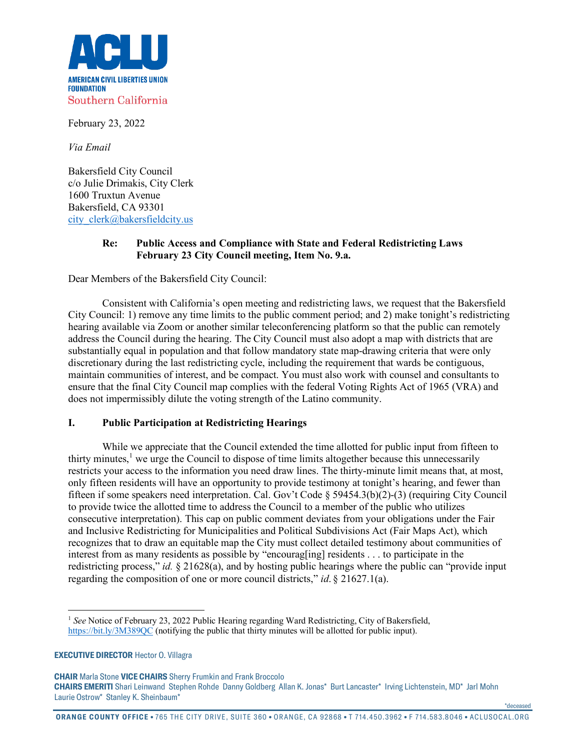

February 23, 2022

*Via Email*

Bakersfield City Council c/o Julie Drimakis, City Clerk 1600 Truxtun Avenue Bakersfield, CA 93301 [city\\_clerk@bakersfieldcity.us](mailto:city_clerk@bakersfieldcity.us)

# **Re: Public Access and Compliance with State and Federal Redistricting Laws February 23 City Council meeting, Item No. 9.a.**

Dear Members of the Bakersfield City Council:

Consistent with California's open meeting and redistricting laws, we request that the Bakersfield City Council: 1) remove any time limits to the public comment period; and 2) make tonight's redistricting hearing available via Zoom or another similar teleconferencing platform so that the public can remotely address the Council during the hearing. The City Council must also adopt a map with districts that are substantially equal in population and that follow mandatory state map-drawing criteria that were only discretionary during the last redistricting cycle, including the requirement that wards be contiguous, maintain communities of interest, and be compact. You must also work with counsel and consultants to ensure that the final City Council map complies with the federal Voting Rights Act of 1965 (VRA) and does not impermissibly dilute the voting strength of the Latino community.

# **I. Public Participation at Redistricting Hearings**

While we appreciate that the Council extended the time allotted for public input from fifteen to thirty minutes, $\frac{1}{1}$  $\frac{1}{1}$  $\frac{1}{1}$  we urge the Council to dispose of time limits altogether because this unnecessarily restricts your access to the information you need draw lines. The thirty-minute limit means that, at most, only fifteen residents will have an opportunity to provide testimony at tonight's hearing, and fewer than fifteen if some speakers need interpretation. Cal. Gov't Code § 59454.3(b)(2)-(3) (requiring City Council to provide twice the allotted time to address the Council to a member of the public who utilizes consecutive interpretation). This cap on public comment deviates from your obligations under the Fair and Inclusive Redistricting for Municipalities and Political Subdivisions Act (Fair Maps Act), which recognizes that to draw an equitable map the City must collect detailed testimony about communities of interest from as many residents as possible by "encourag[ing] residents . . . to participate in the redistricting process," *id.* § 21628(a), and by hosting public hearings where the public can "provide input regarding the composition of one or more council districts," *id*. § 21627.1(a).

#### <span id="page-0-0"></span>**EXECUTIVE DIRECTOR** Hector O. Villagra

**CHAIR** Marla Stone **VICE CHAIRS** Sherry Frumkin and Frank Broccolo **CHAIRS EMERITI** Shari Leinwand Stephen Rohde Danny Goldberg Allan K. Jonas\* Burt Lancaster\* Irving Lichtenstein, MD\* Jarl Mohn Laurie Ostrow\* Stanley K. Sheinbaum\*

\*deceased

<sup>1</sup> *See* Notice of February 23, 2022 Public Hearing regarding Ward Redistricting, City of Bakersfield, <https://bit.ly/3M389QC> (notifying the public that thirty minutes will be allotted for public input).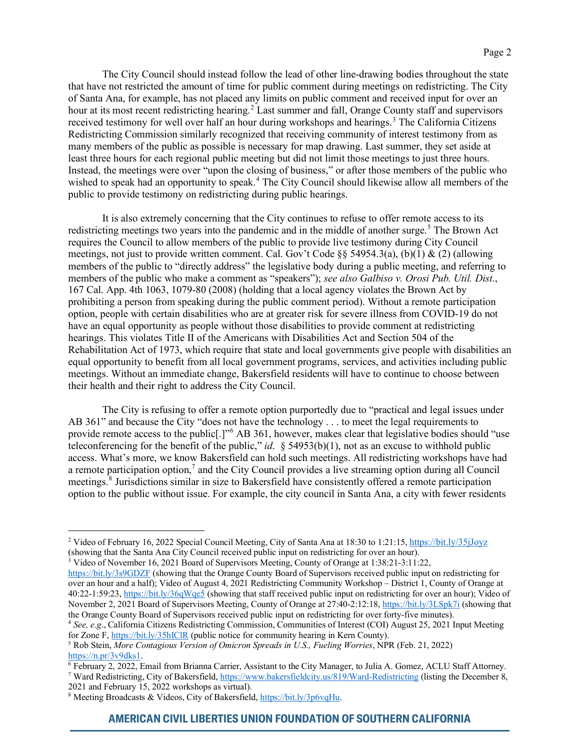The City Council should instead follow the lead of other line-drawing bodies throughout the state that have not restricted the amount of time for public comment during meetings on redistricting. The City of Santa Ana, for example, has not placed any limits on public comment and received input for over an hour at its most recent redistricting hearing.<sup>[2](#page-1-0)</sup> Last summer and fall, Orange County staff and supervisors received testimony for well over half an hour during workshops and hearings.<sup>[3](#page-1-1)</sup> The California Citizens Redistricting Commission similarly recognized that receiving community of interest testimony from as many members of the public as possible is necessary for map drawing. Last summer, they set aside at least three hours for each regional public meeting but did not limit those meetings to just three hours. Instead, the meetings were over "upon the closing of business," or after those members of the public who wished to speak had an opportunity to speak.<sup>[4](#page-1-2)</sup> The City Council should likewise allow all members of the public to provide testimony on redistricting during public hearings.

It is also extremely concerning that the City continues to refuse to offer remote access to its redistricting meetings two years into the pandemic and in the middle of another surge.<sup>[5](#page-1-3)</sup> The Brown Act requires the Council to allow members of the public to provide live testimony during City Council meetings, not just to provide written comment. Cal. Gov't Code §§ 54954.3(a), (b)(1) & (2) (allowing members of the public to "directly address" the legislative body during a public meeting, and referring to members of the public who make a comment as "speakers"); *see also Galbiso v. Orosi Pub. Util. Dist.*, 167 Cal. App. 4th 1063, 1079-80 (2008) (holding that a local agency violates the Brown Act by prohibiting a person from speaking during the public comment period). Without a remote participation option, people with certain disabilities who are at greater risk for severe illness from COVID-19 do not have an equal opportunity as people without those disabilities to provide comment at redistricting hearings. This violates Title II of the Americans with Disabilities Act and Section 504 of the Rehabilitation Act of 1973, which require that state and local governments give people with disabilities an equal opportunity to benefit from all local government programs, services, and activities including public meetings. Without an immediate change, Bakersfield residents will have to continue to choose between their health and their right to address the City Council.

The City is refusing to offer a remote option purportedly due to "practical and legal issues under AB 361" and because the City "does not have the technology . . . to meet the legal requirements to provide remote access to the public[.]"<sup>[6](#page-1-4)</sup> AB 361, however, makes clear that legislative bodies should "use teleconferencing for the benefit of the public," *id*. § 54953(b)(1), not as an excuse to withhold public access. What's more, we know Bakersfield can hold such meetings. All redistricting workshops have had a remote participation option, $<sup>7</sup>$  $<sup>7</sup>$  $<sup>7</sup>$  and the City Council provides a live streaming option during all Council</sup> meetings.<sup>[8](#page-1-6)</sup> Jurisdictions similar in size to Bakersfield have consistently offered a remote participation option to the public without issue. For example, the city council in Santa Ana, a city with fewer residents

<span id="page-1-0"></span><sup>&</sup>lt;sup>2</sup> Video of February 16, 2022 Special Council Meeting, City of Santa Ana at 18:30 to 1:21:15[, https://bit.ly/35jJoyz](https://bit.ly/35jJoyz) (showing that the Santa Ana City Council received public input on redistricting for over an hour).

<span id="page-1-1"></span><sup>&</sup>lt;sup>3</sup> Video of November 16, 2021 Board of Supervisors Meeting, County of Orange at 1:38:21-3:11:22,

<https://bit.ly/3s9GDZF> (showing that the Orange County Board of Supervisors received public input on redistricting for over an hour and a half); Video of August 4, 2021 Redistricting Community Workshop – District 1, County of Orange at 40:22-1:59:23, <https://bit.ly/36qWqe5> (showing that staff received public input on redistricting for over an hour); Video of November 2, 2021 Board of Supervisors Meeting, County of Orange at 27:40-2:12:18[, https://bit.ly/3LSpk7i](https://bit.ly/3LSpk7i) (showing that the Orange County Board of Supervisors received public input on redistricting for over forty-five minutes).

<span id="page-1-2"></span><sup>&</sup>lt;sup>4</sup> See, e.g., California Citizens Redistricting Commission, Communities of Interest (COI) August 25, 2021 Input Meeting for Zone F, https://bit.ly/35hIClR (public notice for community hearing in Kern County).

<span id="page-1-3"></span><sup>&</sup>lt;sup>5</sup> Rob Stein, *More Contagious Version of Omicron Spreads in U.S.*, *Fueling Worries*, NPR (Feb. 21, 2022)

<span id="page-1-4"></span>https://n.pr/3v9dks1.<br><sup>6</sup> February 2, 2022, Email from Brianna Carrier, Assistant to the City Manager, to Julia A. Gomez, ACLU Staff Attorney.

<span id="page-1-5"></span><sup>7</sup> Ward Redistricting, City of Bakersfield[, https://www.bakersfieldcity.us/819/Ward-Redistricting](https://www.bakersfieldcity.us/819/Ward-Redistricting) (listing the December 8, 2021 and February 15, 2022 workshops as virtual).

<span id="page-1-6"></span><sup>8</sup> Meeting Broadcasts & Videos, City of Bakersfield[, https://bit.ly/3p6vqHu.](https://bit.ly/3p6vqHu)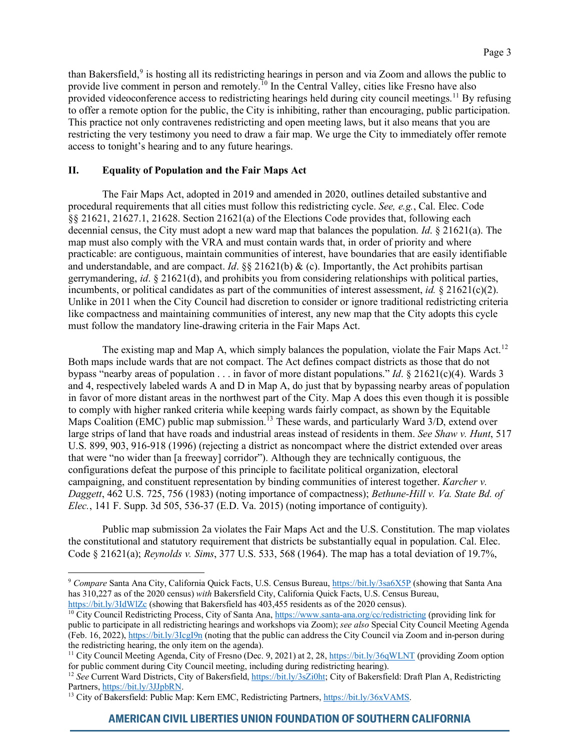than Bakersfield,<sup>[9](#page-2-0)</sup> is hosting all its redistricting hearings in person and via Zoom and allows the public to provide live comment in person and remotely.<sup>[10](#page-2-1)</sup> In the Central Valley, cities like Fresno have also provided videoconference access to redistricting hearings held during city council meetings.<sup>[11](#page-2-2)</sup> By refusing to offer a remote option for the public, the City is inhibiting, rather than encouraging, public participation. This practice not only contravenes redistricting and open meeting laws, but it also means that you are restricting the very testimony you need to draw a fair map. We urge the City to immediately offer remote access to tonight's hearing and to any future hearings.

### **II. Equality of Population and the Fair Maps Act**

The Fair Maps Act, adopted in 2019 and amended in 2020, outlines detailed substantive and procedural requirements that all cities must follow this redistricting cycle. *See, e.g.*, Cal. Elec. Code §§ 21621, 21627.1, 21628. Section 21621(a) of the Elections Code provides that, following each decennial census, the City must adopt a new ward map that balances the population. *Id*. § 21621(a). The map must also comply with the VRA and must contain wards that, in order of priority and where practicable: are contiguous, maintain communities of interest, have boundaries that are easily identifiable and understandable, and are compact. *Id*. §§ 21621(b) & (c). Importantly, the Act prohibits partisan gerrymandering, *id*. § 21621(d), and prohibits you from considering relationships with political parties, incumbents, or political candidates as part of the communities of interest assessment, *id.*  $\frac{8}{21621(c)(2)}$ . Unlike in 2011 when the City Council had discretion to consider or ignore traditional redistricting criteria like compactness and maintaining communities of interest, any new map that the City adopts this cycle must follow the mandatory line-drawing criteria in the Fair Maps Act.

The existing map and Map A, which simply balances the population, violate the Fair Maps Act.<sup>[12](#page-2-3)</sup> Both maps include wards that are not compact. The Act defines compact districts as those that do not bypass "nearby areas of population . . . in favor of more distant populations." *Id*. § 21621(c)(4). Wards 3 and 4, respectively labeled wards A and D in Map A, do just that by bypassing nearby areas of population in favor of more distant areas in the northwest part of the City. Map A does this even though it is possible to comply with higher ranked criteria while keeping wards fairly compact, as shown by the Equitable Maps Coalition (EMC) public map submission.<sup>[13](#page-2-4)</sup> These wards, and particularly Ward 3/D, extend over large strips of land that have roads and industrial areas instead of residents in them. *See Shaw v. Hunt*, 517 U.S. 899, 903, 916-918 (1996) (rejecting a district as noncompact where the district extended over areas that were "no wider than [a freeway] corridor"). Although they are technically contiguous, the configurations defeat the purpose of this principle to facilitate political organization, electoral campaigning, and constituent representation by binding communities of interest together. *Karcher v. Daggett*, 462 U.S. 725, 756 (1983) (noting importance of compactness); *Bethune-Hill v. Va. State Bd. of Elec.*, 141 F. Supp. 3d 505, 536-37 (E.D. Va. 2015) (noting importance of contiguity).

Public map submission 2a violates the Fair Maps Act and the U.S. Constitution. The map violates the constitutional and statutory requirement that districts be substantially equal in population. Cal. Elec. Code § 21621(a); *Reynolds v. Sims*, 377 U.S. 533, 568 (1964). The map has a total deviation of 19.7%,

<span id="page-2-0"></span><sup>&</sup>lt;sup>9</sup> Compare Santa Ana City, California Quick Facts, U.S. Census Bureau, *https://bit.ly/3sa6X5P* (showing that Santa Ana has 310,227 as of the 2020 census) *with* Bakersfield City, California Quick Facts, U.S. Census Bureau, https://bit.ly/3IdWlZc (showing that Bakersfield has 403,455 residents as of the 2020 census).

<span id="page-2-1"></span><sup>&</sup>lt;sup>10</sup> City Council Redistricting Process, City of Santa Ana,<https://www.santa-ana.org/cc/redistricting> (providing link for public to participate in all redistricting hearings and workshops via Zoom); *see also* Special City Council Meeting Agenda (Feb. 16, 2022)[, https://bit.ly/3IcgI9n](https://bit.ly/3IcgI9n) (noting that the public can address the City Council via Zoom and in-person during the redistricting hearing, the only item on the agenda).

<span id="page-2-2"></span><sup>&</sup>lt;sup>11</sup> City Council Meeting Agenda, City of Fresno (Dec. 9, 2021) at 2, 28, <https://bit.ly/36qWLNT> (providing Zoom option for public comment during City Council meeting, including during redistricting hearing).

<span id="page-2-3"></span><sup>&</sup>lt;sup>12</sup> See Current Ward Districts, City of Bakersfield[, https://bit.ly/3sZi0ht;](https://bit.ly/3sZi0ht) City of Bakersfield: Draft Plan A, Redistricting Partners, [https://bit.ly/3JJpbRN.](https://bit.ly/3JJpbRN)

<span id="page-2-4"></span><sup>&</sup>lt;sup>13</sup> City of Bakersfield: Public Map: Kern EMC, Redistricting Partners[, https://bit.ly/36xVAMS.](https://bit.ly/36xVAMS)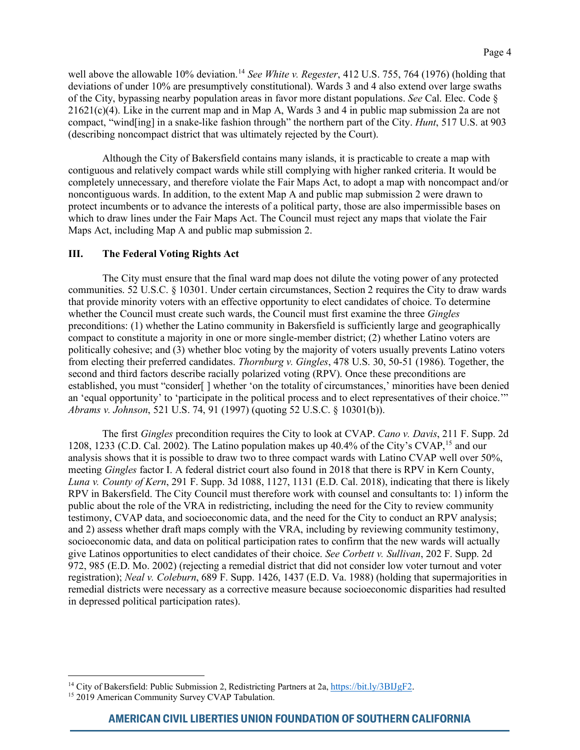well above the allowable 10% deviation.<sup>[14](#page-3-0)</sup> *See White v. Regester*, 412 U.S. 755, 764 (1976) (holding that deviations of under 10% are presumptively constitutional). Wards 3 and 4 also extend over large swaths of the City, bypassing nearby population areas in favor more distant populations. *See* Cal. Elec. Code §  $21621(c)(4)$ . Like in the current map and in Map A, Wards 3 and 4 in public map submission 2a are not compact, "wind[ing] in a snake-like fashion through" the northern part of the City. *Hunt*, 517 U.S. at 903 (describing noncompact district that was ultimately rejected by the Court).

Although the City of Bakersfield contains many islands, it is practicable to create a map with contiguous and relatively compact wards while still complying with higher ranked criteria. It would be completely unnecessary, and therefore violate the Fair Maps Act, to adopt a map with noncompact and/or noncontiguous wards. In addition, to the extent Map A and public map submission 2 were drawn to protect incumbents or to advance the interests of a political party, those are also impermissible bases on which to draw lines under the Fair Maps Act. The Council must reject any maps that violate the Fair Maps Act, including Map A and public map submission 2.

### **III. The Federal Voting Rights Act**

The City must ensure that the final ward map does not dilute the voting power of any protected communities. 52 U.S.C. § 10301. Under certain circumstances, Section 2 requires the City to draw wards that provide minority voters with an effective opportunity to elect candidates of choice. To determine whether the Council must create such wards, the Council must first examine the three *Gingles* preconditions: (1) whether the Latino community in Bakersfield is sufficiently large and geographically compact to constitute a majority in one or more single-member district; (2) whether Latino voters are politically cohesive; and (3) whether bloc voting by the majority of voters usually prevents Latino voters from electing their preferred candidates. *Thornburg v. Gingles*, 478 U.S. 30, 50-51 (1986). Together, the second and third factors describe racially polarized voting (RPV). Once these preconditions are established, you must "consider[ ] whether 'on the totality of circumstances,' minorities have been denied an 'equal opportunity' to 'participate in the political process and to elect representatives of their choice.'" *Abrams v. Johnson*, 521 U.S. 74, 91 (1997) (quoting 52 U.S.C. § 10301(b)).

The first *Gingles* precondition requires the City to look at CVAP. *Cano v. Davis*, 211 F. Supp. 2d 1208, 1233 (C.D. Cal. 2002). The Latino population makes up 40.4% of the City's CVAP,<sup>[15](#page-3-1)</sup> and our analysis shows that it is possible to draw two to three compact wards with Latino CVAP well over 50%, meeting *Gingles* factor I. A federal district court also found in 2018 that there is RPV in Kern County, *Luna v. County of Kern*, 291 F. Supp. 3d 1088, 1127, 1131 (E.D. Cal. 2018), indicating that there is likely RPV in Bakersfield. The City Council must therefore work with counsel and consultants to: 1) inform the public about the role of the VRA in redistricting, including the need for the City to review community testimony, CVAP data, and socioeconomic data, and the need for the City to conduct an RPV analysis; and 2) assess whether draft maps comply with the VRA, including by reviewing community testimony, socioeconomic data, and data on political participation rates to confirm that the new wards will actually give Latinos opportunities to elect candidates of their choice. *See Corbett v. Sullivan*, 202 F. Supp. 2d 972, 985 (E.D. Mo. 2002) (rejecting a remedial district that did not consider low voter turnout and voter registration); *Neal v. Coleburn*, 689 F. Supp. 1426, 1437 (E.D. Va. 1988) (holding that supermajorities in remedial districts were necessary as a corrective measure because socioeconomic disparities had resulted in depressed political participation rates).

<span id="page-3-1"></span><span id="page-3-0"></span><sup>&</sup>lt;sup>14</sup> City of Bakersfield: Public Submission 2, Redistricting Partners at 2a[, https://bit.ly/3BIJgF2.](https://bit.ly/3BIJgF2)<br><sup>15</sup> 2019 American Community Survey CVAP Tabulation.